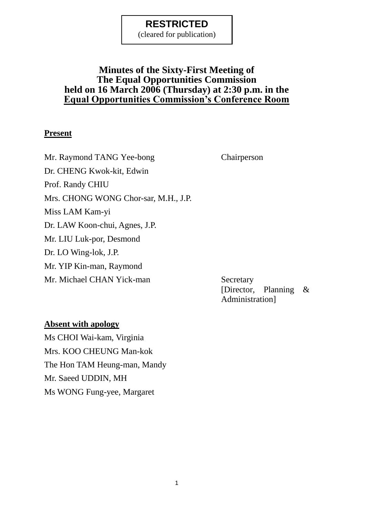(cleared for publication)

# **Minutes of the Sixty-First Meeting of The Equal Opportunities Commission held on 16 March 2006 (Thursday) at 2:30 p.m. in the Equal Opportunities Commission's Conference Room**

#### **Present**

Mr. Raymond TANG Yee-bong Chairperson Dr. CHENG Kwok-kit, Edwin Prof. Randy CHIU Mrs. CHONG WONG Chor-sar, M.H., J.P. Miss LAM Kam-yi Dr. LAW Koon-chui, Agnes, J.P. Mr. LIU Luk-por, Desmond Dr. LO Wing-lok, J.P. Mr. YIP Kin-man, Raymond Mr. Michael CHAN Yick-man Secretary

[Director, Planning & Administration]

#### **Absent with apology**

Ms CHOI Wai-kam, Virginia Mrs. KOO CHEUNG Man-kok The Hon TAM Heung-man, Mandy Mr. Saeed UDDIN, MH Ms WONG Fung-yee, Margaret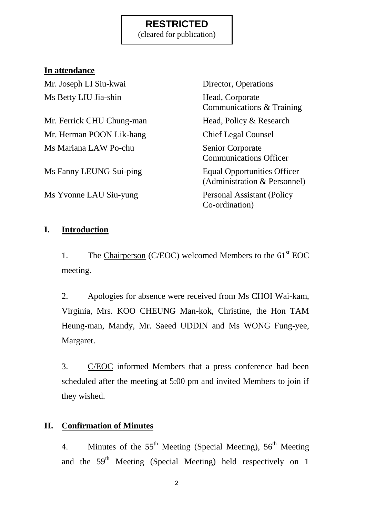(cleared for publication)

### **In attendance**

Mr. Joseph LI Siu-kwai Director, Operations Ms Betty LIU Jia-shin Head, Corporate

Mr. Ferrick CHU Chung-man Head, Policy & Research Mr. Herman POON Lik-hang Chief Legal Counsel Ms Mariana LAW Po-chu Senior Corporate

Ms Yvonne LAU Siu-yung Personal Assistant (Policy

Communications & Training

Communications Officer

Ms Fanny LEUNG Sui-ping Equal Opportunities Officer (Administration & Personnel)

Co-ordination)

## **I. Introduction**

1. The Chairperson (C/EOC) welcomed Members to the 61<sup>st</sup> EOC meeting.

2. Apologies for absence were received from Ms CHOI Wai-kam, Virginia, Mrs. KOO CHEUNG Man-kok, Christine, the Hon TAM Heung-man, Mandy, Mr. Saeed UDDIN and Ms WONG Fung-yee, Margaret.

3. C/EOC informed Members that a press conference had been scheduled after the meeting at 5:00 pm and invited Members to join if they wished.

#### **II. Confirmation of Minutes**

4. Minutes of the  $55<sup>th</sup>$  Meeting (Special Meeting),  $56<sup>th</sup>$  Meeting and the 59<sup>th</sup> Meeting (Special Meeting) held respectively on 1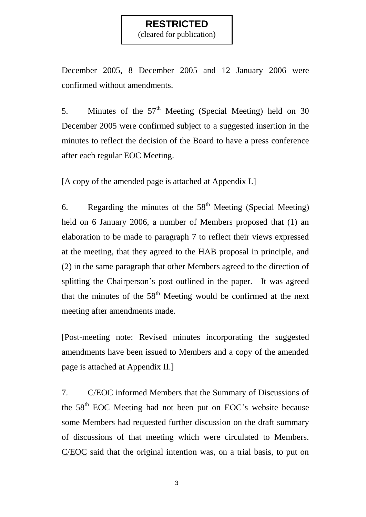(cleared for publication)

December 2005, 8 December 2005 and 12 January 2006 were confirmed without amendments.

5. Minutes of the  $57<sup>th</sup>$  Meeting (Special Meeting) held on 30 December 2005 were confirmed subject to a suggested insertion in the minutes to reflect the decision of the Board to have a press conference after each regular EOC Meeting.

[A copy of the amended page is attached at Appendix I.]

6. Regarding the minutes of the  $58<sup>th</sup>$  Meeting (Special Meeting) held on 6 January 2006, a number of Members proposed that (1) an elaboration to be made to paragraph 7 to reflect their views expressed at the meeting, that they agreed to the HAB proposal in principle, and (2) in the same paragraph that other Members agreed to the direction of splitting the Chairperson's post outlined in the paper. It was agreed that the minutes of the  $58<sup>th</sup>$  Meeting would be confirmed at the next meeting after amendments made.

[Post-meeting note: Revised minutes incorporating the suggested amendments have been issued to Members and a copy of the amended page is attached at Appendix II.]

7. C/EOC informed Members that the Summary of Discussions of the 58<sup>th</sup> EOC Meeting had not been put on EOC's website because some Members had requested further discussion on the draft summary of discussions of that meeting which were circulated to Members. C/EOC said that the original intention was, on a trial basis, to put on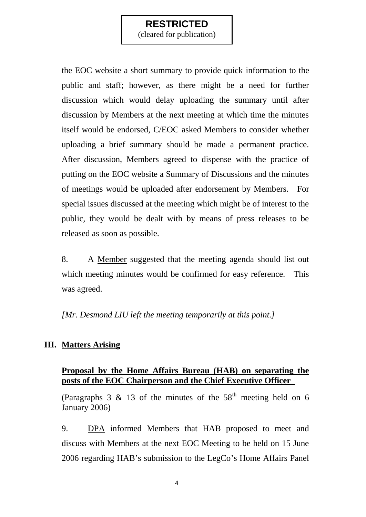(cleared for publication)

the EOC website a short summary to provide quick information to the public and staff; however, as there might be a need for further discussion which would delay uploading the summary until after discussion by Members at the next meeting at which time the minutes itself would be endorsed, C/EOC asked Members to consider whether uploading a brief summary should be made a permanent practice. After discussion, Members agreed to dispense with the practice of putting on the EOC website a Summary of Discussions and the minutes of meetings would be uploaded after endorsement by Members. For special issues discussed at the meeting which might be of interest to the public, they would be dealt with by means of press releases to be released as soon as possible.

8. A Member suggested that the meeting agenda should list out which meeting minutes would be confirmed for easy reference. This was agreed.

*[Mr. Desmond LIU left the meeting temporarily at this point.]*

## **III. Matters Arising**

#### **Proposal by the Home Affairs Bureau (HAB) on separating the posts of the EOC Chairperson and the Chief Executive Officer**

(Paragraphs 3 & 13 of the minutes of the  $58<sup>th</sup>$  meeting held on 6 January 2006)

9. DPA informed Members that HAB proposed to meet and discuss with Members at the next EOC Meeting to be held on 15 June 2006 regarding HAB's submission to the LegCo's Home Affairs Panel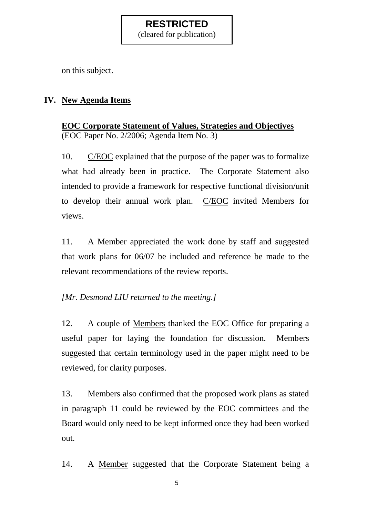(cleared for publication)

on this subject.

## **IV. New Agenda Items**

**EOC Corporate Statement of Values, Strategies and Objectives** (EOC Paper No. 2/2006; Agenda Item No. 3)

10. C/EOC explained that the purpose of the paper was to formalize what had already been in practice. The Corporate Statement also intended to provide a framework for respective functional division/unit to develop their annual work plan. C/EOC invited Members for views.

11. A Member appreciated the work done by staff and suggested that work plans for 06/07 be included and reference be made to the relevant recommendations of the review reports.

## *[Mr. Desmond LIU returned to the meeting.]*

12. A couple of Members thanked the EOC Office for preparing a useful paper for laying the foundation for discussion. Members suggested that certain terminology used in the paper might need to be reviewed, for clarity purposes.

13. Members also confirmed that the proposed work plans as stated in paragraph 11 could be reviewed by the EOC committees and the Board would only need to be kept informed once they had been worked out.

14. A Member suggested that the Corporate Statement being a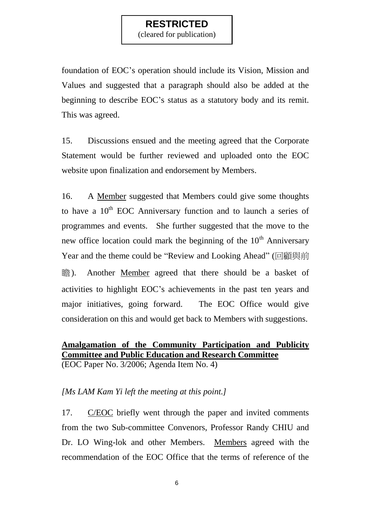(cleared for publication)

foundation of EOC's operation should include its Vision, Mission and Values and suggested that a paragraph should also be added at the beginning to describe EOC's status as a statutory body and its remit. This was agreed.

15. Discussions ensued and the meeting agreed that the Corporate Statement would be further reviewed and uploaded onto the EOC website upon finalization and endorsement by Members.

16. A Member suggested that Members could give some thoughts to have a  $10^{th}$  EOC Anniversary function and to launch a series of programmes and events. She further suggested that the move to the new office location could mark the beginning of the  $10<sup>th</sup>$  Anniversary Year and the theme could be "Review and Looking Ahead" (回顧與前 瞻). Another Member agreed that there should be a basket of activities to highlight EOC's achievements in the past ten years and major initiatives, going forward. The EOC Office would give consideration on this and would get back to Members with suggestions.

#### **Amalgamation of the Community Participation and Publicity Committee and Public Education and Research Committee** (EOC Paper No. 3/2006; Agenda Item No. 4)

#### *[Ms LAM Kam Yi left the meeting at this point.]*

17. C/EOC briefly went through the paper and invited comments from the two Sub-committee Convenors, Professor Randy CHIU and Dr. LO Wing-lok and other Members. Members agreed with the recommendation of the EOC Office that the terms of reference of the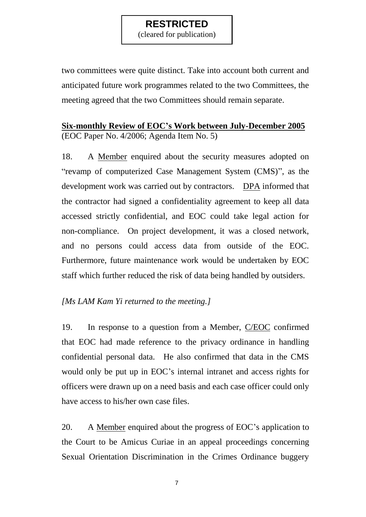(cleared for publication)

two committees were quite distinct. Take into account both current and anticipated future work programmes related to the two Committees, the meeting agreed that the two Committees should remain separate.

### **Six-monthly Review of EOC's Work between July-December 2005** (EOC Paper No. 4/2006; Agenda Item No. 5)

18. A Member enquired about the security measures adopted on "revamp of computerized Case Management System (CMS)", as the development work was carried out by contractors. DPA informed that the contractor had signed a confidentiality agreement to keep all data accessed strictly confidential, and EOC could take legal action for non-compliance. On project development, it was a closed network, and no persons could access data from outside of the EOC. Furthermore, future maintenance work would be undertaken by EOC staff which further reduced the risk of data being handled by outsiders.

## *[Ms LAM Kam Yi returned to the meeting.]*

19. In response to a question from a Member, C/EOC confirmed that EOC had made reference to the privacy ordinance in handling confidential personal data. He also confirmed that data in the CMS would only be put up in EOC's internal intranet and access rights for officers were drawn up on a need basis and each case officer could only have access to his/her own case files.

20. A Member enquired about the progress of EOC's application to the Court to be Amicus Curiae in an appeal proceedings concerning Sexual Orientation Discrimination in the Crimes Ordinance buggery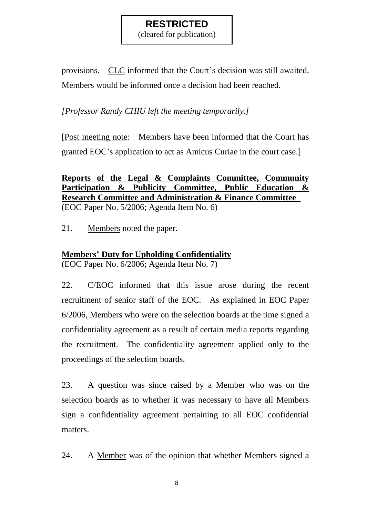(cleared for publication)

provisions. CLC informed that the Court's decision was still awaited. Members would be informed once a decision had been reached.

# *[Professor Randy CHIU left the meeting temporarily.]*

[Post meeting note: Members have been informed that the Court has granted EOC's application to act as Amicus Curiae in the court case.]

**Reports of the Legal & Complaints Committee, Community Participation & Publicity Committee, Public Education & Research Committee and Administration & Finance Committee**  (EOC Paper No. 5/2006; Agenda Item No. 6)

21. Members noted the paper.

#### **Members' Duty for Upholding Confidentiality**

(EOC Paper No. 6/2006; Agenda Item No. 7)

22. C/EOC informed that this issue arose during the recent recruitment of senior staff of the EOC. As explained in EOC Paper 6/2006, Members who were on the selection boards at the time signed a confidentiality agreement as a result of certain media reports regarding the recruitment. The confidentiality agreement applied only to the proceedings of the selection boards.

23. A question was since raised by a Member who was on the selection boards as to whether it was necessary to have all Members sign a confidentiality agreement pertaining to all EOC confidential matters.

24. A Member was of the opinion that whether Members signed a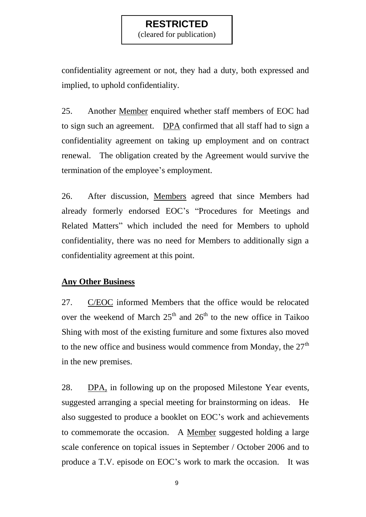(cleared for publication)

confidentiality agreement or not, they had a duty, both expressed and implied, to uphold confidentiality.

25. Another Member enquired whether staff members of EOC had to sign such an agreement. DPA confirmed that all staff had to sign a confidentiality agreement on taking up employment and on contract renewal. The obligation created by the Agreement would survive the termination of the employee's employment.

26. After discussion, Members agreed that since Members had already formerly endorsed EOC's "Procedures for Meetings and Related Matters" which included the need for Members to uphold confidentiality, there was no need for Members to additionally sign a confidentiality agreement at this point.

#### **Any Other Business**

27. C/EOC informed Members that the office would be relocated over the weekend of March  $25<sup>th</sup>$  and  $26<sup>th</sup>$  to the new office in Taikoo Shing with most of the existing furniture and some fixtures also moved to the new office and business would commence from Monday, the  $27<sup>th</sup>$ in the new premises.

28. DPA, in following up on the proposed Milestone Year events, suggested arranging a special meeting for brainstorming on ideas. He also suggested to produce a booklet on EOC's work and achievements to commemorate the occasion. A Member suggested holding a large scale conference on topical issues in September / October 2006 and to produce a T.V. episode on EOC's work to mark the occasion. It was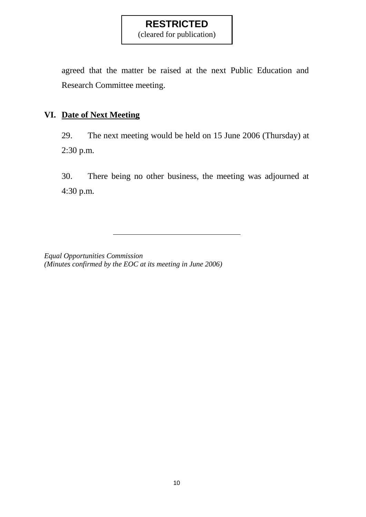(cleared for publication)

agreed that the matter be raised at the next Public Education and Research Committee meeting.

## **VI. Date of Next Meeting**

29. The next meeting would be held on 15 June 2006 (Thursday) at 2:30 p.m.

30. There being no other business, the meeting was adjourned at 4:30 p.m.

*Equal Opportunities Commission (Minutes confirmed by the EOC at its meeting in June 2006)*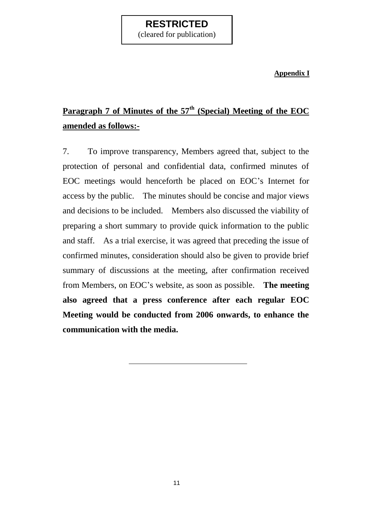(cleared for publication)

**Appendix I**

# **Paragraph 7 of Minutes of the 57th (Special) Meeting of the EOC amended as follows:-**

7. To improve transparency, Members agreed that, subject to the protection of personal and confidential data, confirmed minutes of EOC meetings would henceforth be placed on EOC's Internet for access by the public. The minutes should be concise and major views and decisions to be included. Members also discussed the viability of preparing a short summary to provide quick information to the public and staff. As a trial exercise, it was agreed that preceding the issue of confirmed minutes, consideration should also be given to provide brief summary of discussions at the meeting, after confirmation received from Members, on EOC's website, as soon as possible. **The meeting also agreed that a press conference after each regular EOC Meeting would be conducted from 2006 onwards, to enhance the communication with the media.**